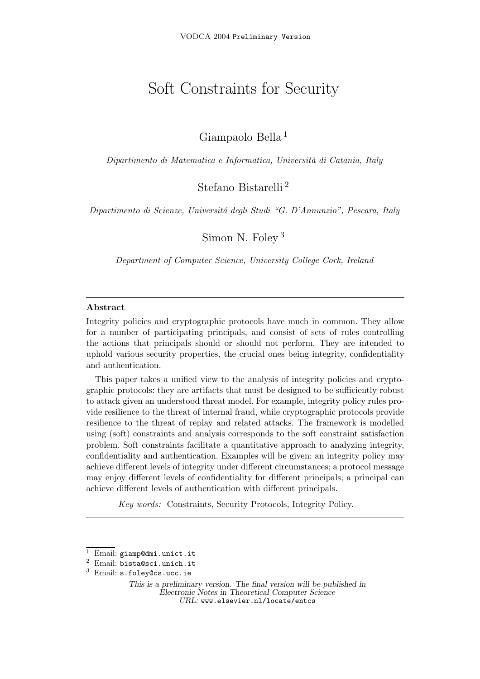# Soft Constraints for Security

Giampaolo Bella <sup>1</sup>

Dipartimento di Matematica e Informatica, Università di Catania, Italy

Stefano Bistarelli <sup>2</sup>

Dipartimento di Scienze, Università degli Studi "G. D'Annunzio", Pescara, Italy

Simon N. Foley <sup>3</sup>

Department of Computer Science, University College Cork, Ireland

### Abstract

Integrity policies and cryptographic protocols have much in common. They allow for a number of participating principals, and consist of sets of rules controlling the actions that principals should or should not perform. They are intended to uphold various security properties, the crucial ones being integrity, confidentiality and authentication.

This paper takes a unified view to the analysis of integrity policies and cryptographic protocols: they are artifacts that must be designed to be sufficiently robust to attack given an understood threat model. For example, integrity policy rules provide resilience to the threat of internal fraud, while cryptographic protocols provide resilience to the threat of replay and related attacks. The framework is modelled using (soft) constraints and analysis corresponds to the soft constraint satisfaction problem. Soft constraints facilitate a quantitative approach to analyzing integrity, confidentiality and authentication. Examples will be given: an integrity policy may achieve different levels of integrity under different circumstances; a protocol message may enjoy different levels of confidentiality for different principals; a principal can achieve different levels of authentication with different principals.

Key words: Constraints, Security Protocols, Integrity Policy.

<sup>1</sup> Email: giamp@dmi.unict.it

<sup>2</sup> Email: bista@sci.unich.it

<sup>3</sup> Email: s.foley@cs.ucc.ie

This is a preliminary version. The final version will be published in Electronic Notes in Theoretical Computer Science URL: www.elsevier.nl/locate/entcs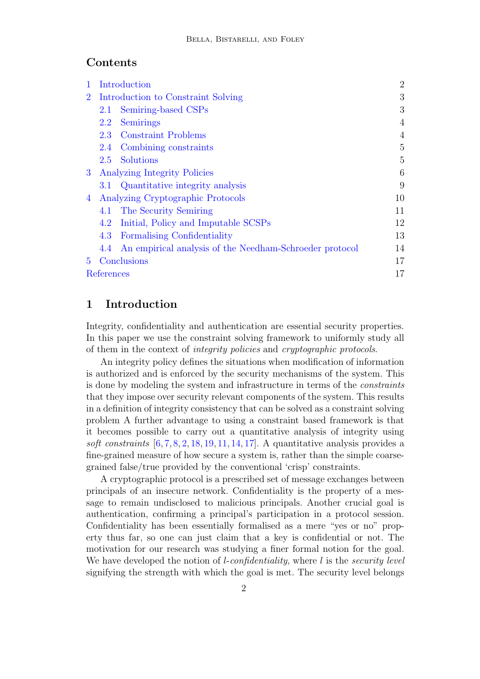## Contents

|                | Introduction                       |                                                         | $\overline{2}$ |
|----------------|------------------------------------|---------------------------------------------------------|----------------|
| $\overline{2}$ | Introduction to Constraint Solving |                                                         | 3              |
|                | 2.1                                | Semiring-based CSPs                                     | 3              |
|                | 2.2                                | Semirings                                               | $\overline{4}$ |
|                | 2.3                                | <b>Constraint Problems</b>                              | 4              |
|                | 2.4                                | Combining constraints                                   | 5              |
|                | 2.5                                | Solutions                                               | 5              |
| 3              | Analyzing Integrity Policies       |                                                         | 6              |
|                |                                    | 3.1 Quantitative integrity analysis                     | 9              |
| 4              | Analyzing Cryptographic Protocols  |                                                         | 10             |
|                | 4.1                                | The Security Semiring                                   | 11             |
|                | 4.2                                | Initial, Policy and Imputable SCSPs                     | 12             |
|                | 4.3                                | Formalising Confidentiality                             | 13             |
|                | 4.4                                | An empirical analysis of the Needham-Schroeder protocol | 14             |
| $5^{\circ}$    | Conclusions                        |                                                         | 17             |
| References     |                                    |                                                         | 17             |

## <span id="page-1-0"></span>1 Introduction

Integrity, confidentiality and authentication are essential security properties. In this paper we use the constraint solving framework to uniformly study all of them in the context of integrity policies and cryptographic protocols.

An integrity policy defines the situations when modification of information is authorized and is enforced by the security mechanisms of the system. This is done by modeling the system and infrastructure in terms of the constraints that they impose over security relevant components of the system. This results in a definition of integrity consistency that can be solved as a constraint solving problem A further advantage to using a constraint based framework is that it becomes possible to carry out a quantitative analysis of integrity using soft constraints  $[6, 7, 8, 2, 18, 19, 11, 14, 17]$  $[6, 7, 8, 2, 18, 19, 11, 14, 17]$  $[6, 7, 8, 2, 18, 19, 11, 14, 17]$  $[6, 7, 8, 2, 18, 19, 11, 14, 17]$  $[6, 7, 8, 2, 18, 19, 11, 14, 17]$  $[6, 7, 8, 2, 18, 19, 11, 14, 17]$  $[6, 7, 8, 2, 18, 19, 11, 14, 17]$  $[6, 7, 8, 2, 18, 19, 11, 14, 17]$  $[6, 7, 8, 2, 18, 19, 11, 14, 17]$  $[6, 7, 8, 2, 18, 19, 11, 14, 17]$  $[6, 7, 8, 2, 18, 19, 11, 14, 17]$  $[6, 7, 8, 2, 18, 19, 11, 14, 17]$  $[6, 7, 8, 2, 18, 19, 11, 14, 17]$  $[6, 7, 8, 2, 18, 19, 11, 14, 17]$  $[6, 7, 8, 2, 18, 19, 11, 14, 17]$  $[6, 7, 8, 2, 18, 19, 11, 14, 17]$  $[6, 7, 8, 2, 18, 19, 11, 14, 17]$ . A quantitative analysis provides a fine-grained measure of how secure a system is, rather than the simple coarsegrained false/true provided by the conventional 'crisp' constraints.

A cryptographic protocol is a prescribed set of message exchanges between principals of an insecure network. Confidentiality is the property of a message to remain undisclosed to malicious principals. Another crucial goal is authentication, confirming a principal's participation in a protocol session. Confidentiality has been essentially formalised as a mere "yes or no" property thus far, so one can just claim that a key is confidential or not. The motivation for our research was studying a finer formal notion for the goal. We have developed the notion of *l-confidentiality*, where *l* is the *security level* signifying the strength with which the goal is met. The security level belongs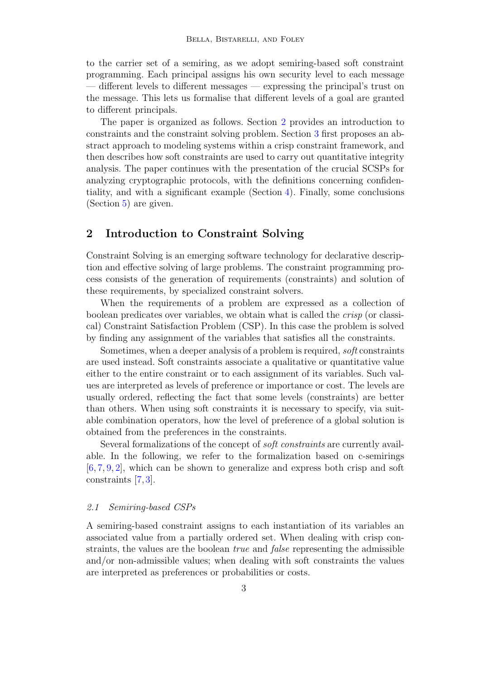to the carrier set of a semiring, as we adopt semiring-based soft constraint programming. Each principal assigns his own security level to each message — different levels to different messages — expressing the principal's trust on the message. This lets us formalise that different levels of a goal are granted to different principals.

The paper is organized as follows. Section [2](#page-2-0) provides an introduction to constraints and the constraint solving problem. Section [3](#page-5-0) first proposes an abstract approach to modeling systems within a crisp constraint framework, and then describes how soft constraints are used to carry out quantitative integrity analysis. The paper continues with the presentation of the crucial SCSPs for analyzing cryptographic protocols, with the definitions concerning confidentiality, and with a significant example (Section [4\)](#page-9-0). Finally, some conclusions (Section [5\)](#page-16-0) are given.

## <span id="page-2-0"></span>2 Introduction to Constraint Solving

Constraint Solving is an emerging software technology for declarative description and effective solving of large problems. The constraint programming process consists of the generation of requirements (constraints) and solution of these requirements, by specialized constraint solvers.

When the requirements of a problem are expressed as a collection of boolean predicates over variables, we obtain what is called the crisp (or classical) Constraint Satisfaction Problem (CSP). In this case the problem is solved by finding any assignment of the variables that satisfies all the constraints.

Sometimes, when a deeper analysis of a problem is required, soft constraints are used instead. Soft constraints associate a qualitative or quantitative value either to the entire constraint or to each assignment of its variables. Such values are interpreted as levels of preference or importance or cost. The levels are usually ordered, reflecting the fact that some levels (constraints) are better than others. When using soft constraints it is necessary to specify, via suitable combination operators, how the level of preference of a global solution is obtained from the preferences in the constraints.

Several formalizations of the concept of *soft constraints* are currently available. In the following, we refer to the formalization based on c-semirings  $[6, 7, 9, 2]$  $[6, 7, 9, 2]$  $[6, 7, 9, 2]$  $[6, 7, 9, 2]$  $[6, 7, 9, 2]$  $[6, 7, 9, 2]$  $[6, 7, 9, 2]$ , which can be shown to generalize and express both crisp and soft constraints [\[7,](#page-17-1) [3\]](#page-16-3).

### <span id="page-2-1"></span>2.1 Semiring-based CSPs

A semiring-based constraint assigns to each instantiation of its variables an associated value from a partially ordered set. When dealing with crisp constraints, the values are the boolean true and false representing the admissible and/or non-admissible values; when dealing with soft constraints the values are interpreted as preferences or probabilities or costs.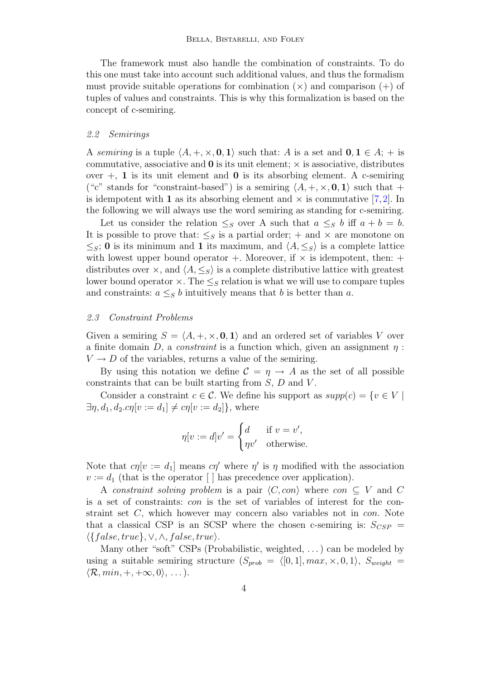The framework must also handle the combination of constraints. To do this one must take into account such additional values, and thus the formalism must provide suitable operations for combination  $(\times)$  and comparison  $(+)$  of tuples of values and constraints. This is why this formalization is based on the concept of c-semiring.

### <span id="page-3-0"></span>2.2 Semirings

A semiring is a tuple  $\langle A, +, \times, \mathbf{0}, \mathbf{1} \rangle$  such that: A is a set and  $\mathbf{0}, \mathbf{1} \in A$ ; + is commutative, associative and  $\bf{0}$  is its unit element;  $\times$  is associative, distributes over  $+$ , 1 is its unit element and 0 is its absorbing element. A c-semiring ("c" stands for "constraint-based") is a semiring  $\langle A, +, \times, \mathbf{0}, \mathbf{1} \rangle$  such that + is idempotent with 1 as its absorbing element and  $\times$  is commutative [\[7,](#page-17-1) [2\]](#page-16-2). In the following we will always use the word semiring as standing for c-semiring.

Let us consider the relation  $\leq_S$  over A such that  $a \leq_S b$  iff  $a + b = b$ . It is possible to prove that:  $\leq_S$  is a partial order; + and  $\times$  are monotone on  $\leq_S$ ; 0 is its minimum and 1 its maximum, and  $\langle A, \leq_S \rangle$  is a complete lattice with lowest upper bound operator +. Moreover, if  $\times$  is idempotent, then: + distributes over  $\times$ , and  $\langle A, \leq_S \rangle$  is a complete distributive lattice with greatest lower bound operator  $\times$ . The  $\leq_S$  relation is what we will use to compare tuples and constraints:  $a \leq_S b$  intuitively means that b is better than a.

### <span id="page-3-1"></span>2.3 Constraint Problems

Given a semiring  $S = \langle A, +, \times, \mathbf{0}, \mathbf{1} \rangle$  and an ordered set of variables V over a finite domain D, a *constraint* is a function which, given an assignment  $\eta$ :  $V \rightarrow D$  of the variables, returns a value of the semiring.

By using this notation we define  $\mathcal{C} = \eta \rightarrow A$  as the set of all possible constraints that can be built starting from S, D and V .

Consider a constraint  $c \in \mathcal{C}$ . We define his support as  $supp(c) = \{v \in V \mid$  $\exists \eta, d_1, d_2.c\eta [v := d_1] \neq c\eta [v := d_2]$ , where

$$
\eta[v := d]v' = \begin{cases} d & \text{if } v = v', \\ \eta v' & \text{otherwise.} \end{cases}
$$

Note that  $c\eta[v := d_1]$  means  $c\eta'$  where  $\eta'$  is  $\eta$  modified with the association  $v := d_1$  (that is the operator  $\lceil \cdot \rceil$  has precedence over application).

A constraint solving problem is a pair  $\langle C, con \rangle$  where con  $\subset V$  and C is a set of constraints: con is the set of variables of interest for the constraint set C, which however may concern also variables not in con. Note that a classical CSP is an SCSP where the chosen c-semiring is:  $S_{CSP}$  =  $\langle \{false, true\}, \vee, \wedge, false, true \rangle$ .

Many other "soft" CSPs (Probabilistic, weighted, . . .) can be modeled by using a suitable semiring structure  $(S_{prob} = \langle [0, 1], max, \times, 0, 1 \rangle, S_{weight} =$  $\langle \mathcal{R}, min, +, +\infty, 0 \rangle, \ldots$ ).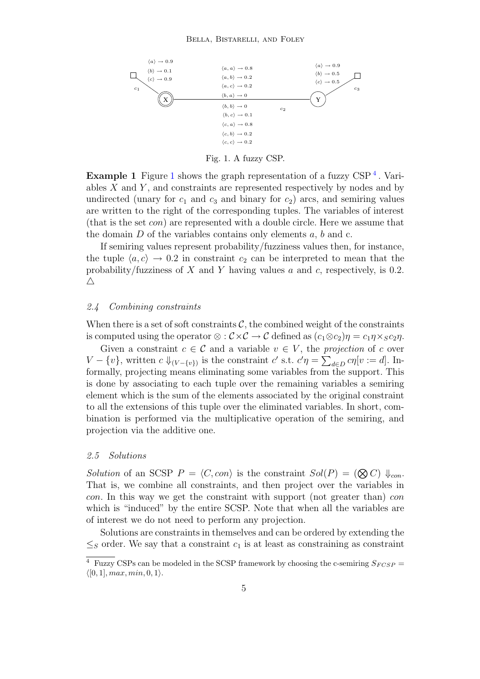

<span id="page-4-2"></span>Fig. 1. A fuzzy CSP.

**Example [1](#page-4-2)** Figure 1 shows the graph representation of a fuzzy  $CSP<sup>4</sup>$  $CSP<sup>4</sup>$  $CSP<sup>4</sup>$ . Variables  $X$  and  $Y$ , and constraints are represented respectively by nodes and by undirected (unary for  $c_1$  and  $c_3$  and binary for  $c_2$ ) arcs, and semiring values are written to the right of the corresponding tuples. The variables of interest (that is the set con) are represented with a double circle. Here we assume that the domain  $D$  of the variables contains only elements  $a, b$  and  $c$ .

If semiring values represent probability/fuzziness values then, for instance, the tuple  $\langle a, c \rangle \rightarrow 0.2$  in constraint  $c_2$  can be interpreted to mean that the probability/fuzziness of X and Y having values a and c, respectively, is 0.2.  $\triangle$ 

### <span id="page-4-0"></span>2.4 Combining constraints

When there is a set of soft constraints  $\mathcal{C}$ , the combined weight of the constraints is computed using the operator  $\otimes : \mathcal{C} \times \mathcal{C} \to \mathcal{C}$  defined as  $(c_1 \otimes c_2)\eta = c_1 \eta \times_S c_2 \eta$ .

Given a constraint  $c \in \mathcal{C}$  and a variable  $v \in V$ , the projection of c over  $V - \{v\}$ , written  $c \Downarrow_{(V - \{v\})}$  is the constraint  $c'$  s.t.  $c'\eta = \sum_{d \in D} c\eta[v := d]$ . Informally, projecting means eliminating some variables from the support. This is done by associating to each tuple over the remaining variables a semiring element which is the sum of the elements associated by the original constraint to all the extensions of this tuple over the eliminated variables. In short, combination is performed via the multiplicative operation of the semiring, and projection via the additive one.

### <span id="page-4-1"></span>2.5 Solutions

Solution of an SCSP  $P = \langle C, con \rangle$  is the constraint  $Sol(P) = (\bigotimes C) \Downarrow_{con}$ . That is, we combine all constraints, and then project over the variables in con. In this way we get the constraint with support (not greater than) con which is "induced" by the entire SCSP. Note that when all the variables are of interest we do not need to perform any projection.

Solutions are constraints in themselves and can be ordered by extending the  $\leq_S$  order. We say that a constraint  $c_1$  is at least as constraining as constraint

<span id="page-4-3"></span><sup>&</sup>lt;sup>4</sup> Fuzzy CSPs can be modeled in the SCSP framework by choosing the c-semiring  $S_{FCSP}$  =  $\langle [0, 1], max, min, 0, 1 \rangle$ .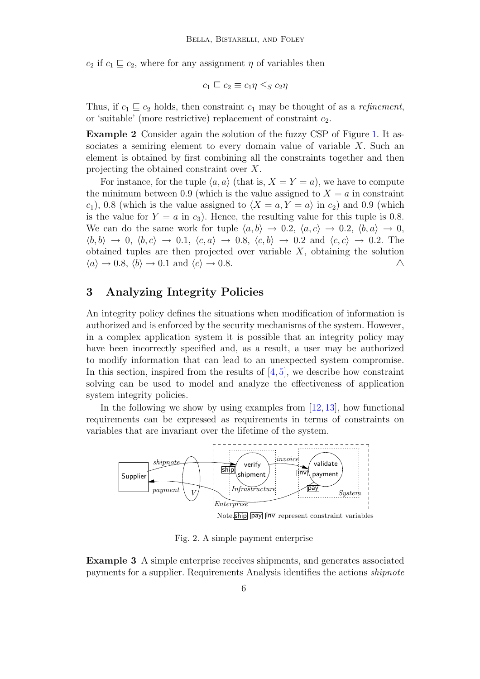$c_2$  if  $c_1 \sqsubseteq c_2$ , where for any assignment  $\eta$  of variables then

$$
c_1 \sqsubseteq c_2 \equiv c_1 \eta \leq_S c_2 \eta
$$

Thus, if  $c_1 \sqsubseteq c_2$  holds, then constraint  $c_1$  may be thought of as a refinement, or 'suitable' (more restrictive) replacement of constraint  $c_2$ .

Example 2 Consider again the solution of the fuzzy CSP of Figure [1.](#page-4-2) It associates a semiring element to every domain value of variable  $X$ . Such an element is obtained by first combining all the constraints together and then projecting the obtained constraint over X.

For instance, for the tuple  $\langle a, a \rangle$  (that is,  $X = Y = a$ ), we have to compute the minimum between 0.9 (which is the value assigned to  $X = a$  in constraint  $c_1$ ), 0.8 (which is the value assigned to  $\langle X = a, Y = a \rangle$  in  $c_2$ ) and 0.9 (which is the value for  $Y = a$  in  $c_3$ ). Hence, the resulting value for this tuple is 0.8. We can do the same work for tuple  $\langle a, b \rangle \rightarrow 0.2, \langle a, c \rangle \rightarrow 0.2, \langle b, a \rangle \rightarrow 0$ ,  $\langle b, b \rangle \rightarrow 0, \langle b, c \rangle \rightarrow 0.1, \langle c, a \rangle \rightarrow 0.8, \langle c, b \rangle \rightarrow 0.2$  and  $\langle c, c \rangle \rightarrow 0.2$ . The obtained tuples are then projected over variable  $X$ , obtaining the solution  $\langle a \rangle \rightarrow 0.8, \langle b \rangle \rightarrow 0.1$  and  $\langle c \rangle \rightarrow 0.8$ .

## <span id="page-5-0"></span>3 Analyzing Integrity Policies

An integrity policy defines the situations when modification of information is authorized and is enforced by the security mechanisms of the system. However, in a complex application system it is possible that an integrity policy may have been incorrectly specified and, as a result, a user may be authorized to modify information that can lead to an unexpected system compromise. In this section, inspired from the results of  $[4, 5]$  $[4, 5]$  $[4, 5]$ , we describe how constraint solving can be used to model and analyze the effectiveness of application system integrity policies.

In the following we show by using examples from  $[12, 13]$  $[12, 13]$  $[12, 13]$ , how functional requirements can be expressed as requirements in terms of constraints on variables that are invariant over the lifetime of the system.



<span id="page-5-1"></span>Fig. 2. A simple payment enterprise

<span id="page-5-2"></span>Example 3 A simple enterprise receives shipments, and generates associated payments for a supplier. Requirements Analysis identifies the actions shipnote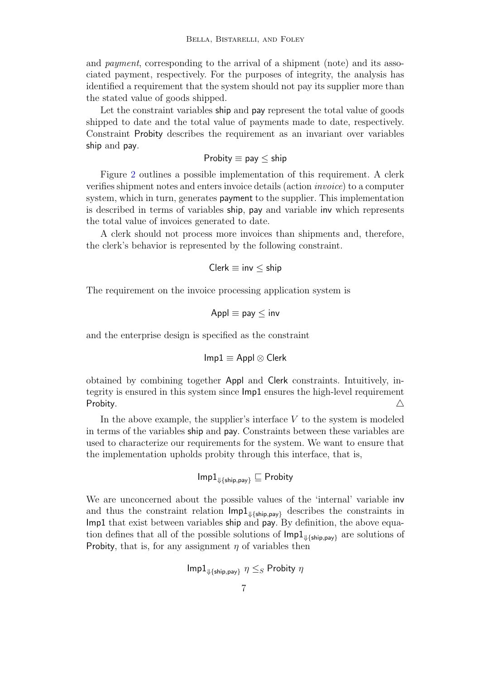and *payment*, corresponding to the arrival of a shipment (note) and its associated payment, respectively. For the purposes of integrity, the analysis has identified a requirement that the system should not pay its supplier more than the stated value of goods shipped.

Let the constraint variables ship and pay represent the total value of goods shipped to date and the total value of payments made to date, respectively. Constraint Probity describes the requirement as an invariant over variables ship and pay.

$$
\mathsf{Probability} \equiv \mathsf{pay} \leq \mathsf{ship}
$$

Figure [2](#page-5-1) outlines a possible implementation of this requirement. A clerk verifies shipment notes and enters invoice details (action invoice) to a computer system, which in turn, generates payment to the supplier. This implementation is described in terms of variables ship, pay and variable inv which represents the total value of invoices generated to date.

A clerk should not process more invoices than shipments and, therefore, the clerk's behavior is represented by the following constraint.

$$
\mathsf{Clerk} \equiv \mathsf{inv} \leq \mathsf{ship}
$$

The requirement on the invoice processing application system is

$$
\mathsf{Appl} \equiv \mathsf{pay} \leq \mathsf{inv}
$$

and the enterprise design is specified as the constraint

$$
\mathsf{Impl} \equiv \mathsf{Appl} \otimes \mathsf{Clerk}
$$

obtained by combining together Appl and Clerk constraints. Intuitively, integrity is ensured in this system since Imp1 ensures the high-level requirement Probity.  $\triangle$ 

In the above example, the supplier's interface  $V$  to the system is modeled in terms of the variables ship and pay. Constraints between these variables are used to characterize our requirements for the system. We want to ensure that the implementation upholds probity through this interface, that is,

$$
\mathsf{Impl}_{\Downarrow\{\textsf{ship},\textsf{pay}\}} \sqsubseteq \mathsf{Probability}
$$

We are unconcerned about the possible values of the 'internal' variable inv and thus the constraint relation  $\text{Imp1}_{\downarrow \{ \text{ship}, \text{pay} \}}$  describes the constraints in Imp1 that exist between variables ship and pay. By definition, the above equation defines that all of the possible solutions of  $\text{Imp1}_{\downarrow \{ \text{ship, pay} \}}$  are solutions of Probity, that is, for any assignment  $\eta$  of variables then

$$
\mathsf{Impl}_{\Downarrow \{ \mathsf{ship}, \mathsf{pay} \}} \; \eta \leq_S \mathsf{Probability} \; \eta
$$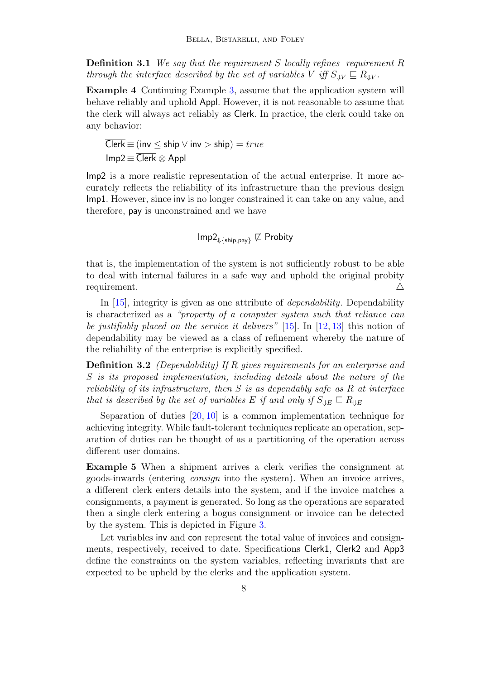Definition 3.1 We say that the requirement S locally refines requirement R through the interface described by the set of variables V iff  $S_{\mu\nu} \subseteq R_{\mu\nu}$ .

Example 4 Continuing Example [3,](#page-5-2) assume that the application system will behave reliably and uphold Appl. However, it is not reasonable to assume that the clerk will always act reliably as Clerk. In practice, the clerk could take on any behavior:

$$
Clerk \equiv (inv \le ship \lor inv > ship) = true
$$
  

$$
Imp2 \equiv \overline{Clerk} \otimes Appl
$$

Imp2 is a more realistic representation of the actual enterprise. It more accurately reflects the reliability of its infrastructure than the previous design Imp1. However, since inv is no longer constrained it can take on any value, and therefore, pay is unconstrained and we have

$$
\mathsf{Imp2}_{\Downarrow \{\textsf{ship}, \textsf{pay}\}} \not\sqsubseteq \mathsf{Probability}
$$

that is, the implementation of the system is not sufficiently robust to be able to deal with internal failures in a safe way and uphold the original probity requirement.  $\triangle$ 

In [\[15\]](#page-17-12), integrity is given as one attribute of dependability. Dependability is characterized as a "property of a computer system such that reliance can be justifiably placed on the service it delivers"  $[15]$ . In  $[12, 13]$  $[12, 13]$  $[12, 13]$  this notion of dependability may be viewed as a class of refinement whereby the nature of the reliability of the enterprise is explicitly specified.

Definition 3.2 (Dependability) If R gives requirements for an enterprise and S is its proposed implementation, including details about the nature of the reliability of its infrastructure, then  $S$  is as dependably safe as  $R$  at interface that is described by the set of variables E if and only if  $S_{\Downarrow E} \subseteq R_{\Downarrow E}$ 

Separation of duties [\[20,](#page-18-1) [10\]](#page-17-13) is a common implementation technique for achieving integrity. While fault-tolerant techniques replicate an operation, separation of duties can be thought of as a partitioning of the operation across different user domains.

Example 5 When a shipment arrives a clerk verifies the consignment at goods-inwards (entering consign into the system). When an invoice arrives, a different clerk enters details into the system, and if the invoice matches a consignments, a payment is generated. So long as the operations are separated then a single clerk entering a bogus consignment or invoice can be detected by the system. This is depicted in Figure [3.](#page-8-1)

Let variables inv and con represent the total value of invoices and consignments, respectively, received to date. Specifications Clerk1, Clerk2 and App3 define the constraints on the system variables, reflecting invariants that are expected to be upheld by the clerks and the application system.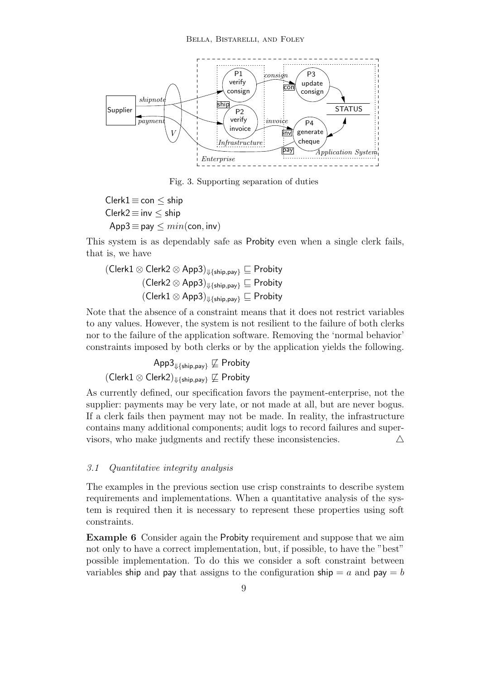

<span id="page-8-1"></span>Fig. 3. Supporting separation of duties

```
Clerk1 \equivcon \leq ship
Clerk2 \equiv inv \leq ship\mathsf{App3} \equiv \mathsf{pay} \leq \min(\mathsf{con}, \mathsf{inv})
```
This system is as dependably safe as Probity even when a single clerk fails, that is, we have

 $(Clerk1 \otimes Clerk2 \otimes App3)_{\Downarrow {\sf{ship, pay}}} \sqsubseteq$  Probity  $(Clerk2 \otimes App3)_{\nparallel \{ship, pay\}} \sqsubseteq$  Probity  $(Clerk1 \otimes App3)_{\nparallel \{ship, pay\}} \sqsubseteq$  Probity

Note that the absence of a constraint means that it does not restrict variables to any values. However, the system is not resilient to the failure of both clerks nor to the failure of the application software. Removing the 'normal behavior' constraints imposed by both clerks or by the application yields the following.

 $App3_{\Downarrow {\{ \text{ship}, \text{pay} \}}} \not\sqsubseteq$  Probity  $(Clerk1 \otimes Clerk2)_{\Downarrow \{ship, pay\}} \not\sqsubseteq$  Probity

As currently defined, our specification favors the payment-enterprise, not the supplier: payments may be very late, or not made at all, but are never bogus. If a clerk fails then payment may not be made. In reality, the infrastructure contains many additional components; audit logs to record failures and supervisors, who make judgments and rectify these inconsistencies.  $\Delta$ 

### <span id="page-8-0"></span>3.1 Quantitative integrity analysis

The examples in the previous section use crisp constraints to describe system requirements and implementations. When a quantitative analysis of the system is required then it is necessary to represent these properties using soft constraints.

Example 6 Consider again the Probity requirement and suppose that we aim not only to have a correct implementation, but, if possible, to have the "best" possible implementation. To do this we consider a soft constraint between variables ship and pay that assigns to the configuration ship  $=a$  and pay  $=b$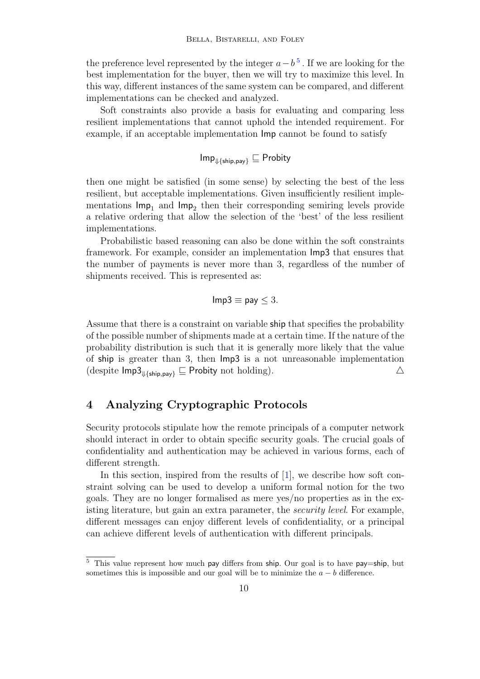the preference level represented by the integer  $a-b^5$  $a-b^5$ . If we are looking for the best implementation for the buyer, then we will try to maximize this level. In this way, different instances of the same system can be compared, and different implementations can be checked and analyzed.

Soft constraints also provide a basis for evaluating and comparing less resilient implementations that cannot uphold the intended requirement. For example, if an acceptable implementation Imp cannot be found to satisfy

## $Imp_{\text{ll/ship,pay}} \sqsubseteq$  Probity

then one might be satisfied (in some sense) by selecting the best of the less resilient, but acceptable implementations. Given insufficiently resilient implementations  $\textsf{Imp}_1$  and  $\textsf{Imp}_2$  then their corresponding semiring levels provide a relative ordering that allow the selection of the 'best' of the less resilient implementations.

Probabilistic based reasoning can also be done within the soft constraints framework. For example, consider an implementation Imp3 that ensures that the number of payments is never more than 3, regardless of the number of shipments received. This is represented as:

$$
Imp3 \equiv pay \leq 3.
$$

Assume that there is a constraint on variable ship that specifies the probability of the possible number of shipments made at a certain time. If the nature of the probability distribution is such that it is generally more likely that the value of ship is greater than 3, then Imp3 is a not unreasonable implementation (despite  $\text{Imp3}_{\downarrow \{\text{ship,pay}\}} \sqsubseteq \text{Probability not holding}.$   $\triangle$ 

## <span id="page-9-0"></span>4 Analyzing Cryptographic Protocols

Security protocols stipulate how the remote principals of a computer network should interact in order to obtain specific security goals. The crucial goals of confidentiality and authentication may be achieved in various forms, each of different strength.

In this section, inspired from the results of  $[1]$ , we describe how soft constraint solving can be used to develop a uniform formal notion for the two goals. They are no longer formalised as mere yes/no properties as in the existing literature, but gain an extra parameter, the security level. For example, different messages can enjoy different levels of confidentiality, or a principal can achieve different levels of authentication with different principals.

<span id="page-9-1"></span> $5$  This value represent how much pay differs from ship. Our goal is to have pay=ship, but sometimes this is impossible and our goal will be to minimize the  $a - b$  difference.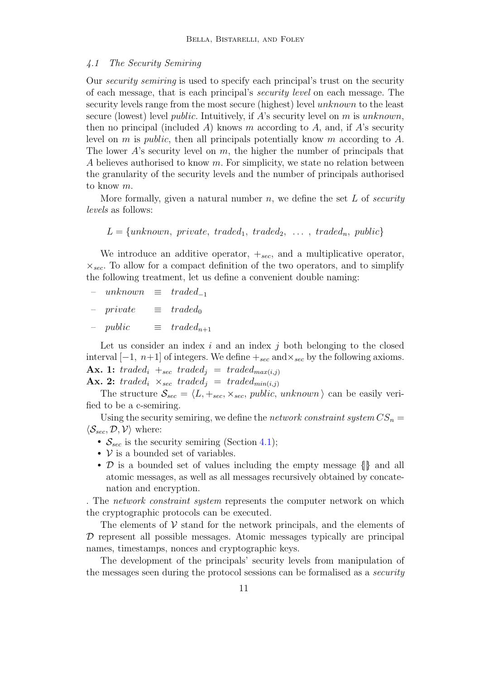### <span id="page-10-0"></span>4.1 The Security Semiring

Our security semiring is used to specify each principal's trust on the security of each message, that is each principal's security level on each message. The security levels range from the most secure (highest) level unknown to the least secure (lowest) level *public*. Intuitively, if  $A$ 's security level on  $m$  is unknown, then no principal (included A) knows m according to A, and, if  $A$ 's security level on m is *public*, then all principals potentially know m according to  $A$ . The lower  $A$ 's security level on  $m$ , the higher the number of principals that A believes authorised to know  $m$ . For simplicity, we state no relation between the granularity of the security levels and the number of principals authorised to know m.

More formally, given a natural number  $n$ , we define the set  $L$  of security levels as follows:

 $L = \{unknown, private, traded_1, traded_2, ..., traded_n, public\}$ 

We introduce an additive operator,  $+_{sec}$ , and a multiplicative operator,  $\times_{\text{sec}}$ . To allow for a compact definition of the two operators, and to simplify the following treatment, let us define a convenient double naming:

- $unknown \equiv traded_{-1}$
- $=$  private  $\equiv$  traded<sub>0</sub>
- *public*  $\equiv$  *traded<sub>n+1</sub>*

Let us consider an index  $i$  and an index  $j$  both belonging to the closed interval  $[-1, n+1]$  of integers. We define  $+_{sec}$  and $\times_{sec}$  by the following axioms. Ax. 1: traded<sub>i</sub> +sec traded<sub>j</sub> = traded<sub>max(i,j)</sub>

**Ax. 2:** traded<sub>i</sub>  $\times_{sec}$  traded<sub>j</sub> = traded<sub>min(i,j)</sub>

The structure  $S_{sec} = \langle L, +_{sec}, \times_{sec}, public, unknown \rangle$  can be easily verified to be a c-semiring.

Using the security semiring, we define the network constraint system  $CS_n =$  $\langle \mathcal{S}_{sec}, \mathcal{D}, \mathcal{V} \rangle$  where:

- $\mathcal{S}_{\text{sec}}$  is the security semiring (Section [4.1\)](#page-10-0);
- $V$  is a bounded set of variables.
- $\mathcal D$  is a bounded set of values including the empty message  $\{ \}$  and all atomic messages, as well as all messages recursively obtained by concatenation and encryption.

. The *network constraint system* represents the computer network on which the cryptographic protocols can be executed.

The elements of  $\mathcal V$  stand for the network principals, and the elements of  $D$  represent all possible messages. Atomic messages typically are principal names, timestamps, nonces and cryptographic keys.

The development of the principals' security levels from manipulation of the messages seen during the protocol sessions can be formalised as a *security*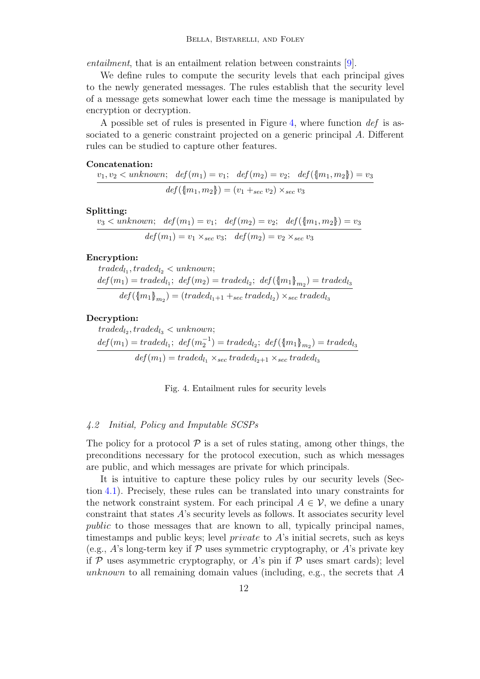entailment, that is an entailment relation between constraints [\[9\]](#page-17-7).

We define rules to compute the security levels that each principal gives to the newly generated messages. The rules establish that the security level of a message gets somewhat lower each time the message is manipulated by encryption or decryption.

A possible set of rules is presented in Figure [4,](#page-11-1) where function  $def$  is associated to a generic constraint projected on a generic principal A. Different rules can be studied to capture other features.

### Concatenation:

$$
\underbrace{v_1, v_2 < unknown; \ \ def(m_1) = v_1; \ \ def(m_2) = v_2; \ \ def(\{m_1, m_2\}) = v_3}{\text{def}(\{m_1, m_2\}) = (v_1 +_{\text{sec}} v_2) \times_{\text{sec}} v_3}
$$

Splitting:

$$
\frac{v_3 < unknown; \ \ def(m_1) = v_1; \ \ def(m_2) = v_2; \ \ def(\{m_1, m_2\}) = v_3}{\text{def}(m_1) = v_1 \times_{\text{sec}} v_3; \ \ \text{def}(m_2) = v_2 \times_{\text{sec}} v_3}
$$

### Encryption:

$$
traded_{l_1}, traded_{l_2} < unknown;
$$
\n
$$
def(m_1) = traded_{l_1}; \ def(m_2) = traded_{l_2}; \ def(\{m_1\}_{m_2}) = traded_{l_3}
$$
\n
$$
def(\{m_1\}_{m_2}) = (traded_{l_1+1} + sec \ traded_{l_2}) \times sec \ traded_{l_3}
$$

#### Decryption:

 $traded_{l_2}, traded_{l_3} < unknown;$  $def(m_1) = traded_{l_1}; def(m_2^{-1}) = traded_{l_2}; def(\{m_1\}_{m_2}) = traded_{l_3}$  $def(m_1) = traded_{l_1} \times_{sec} traded_{l_2+1} \times_{sec} traded_{l_3}$ 

<span id="page-11-1"></span>Fig. 4. Entailment rules for security levels

### <span id="page-11-0"></span>4.2 Initial, Policy and Imputable SCSPs

The policy for a protocol  $P$  is a set of rules stating, among other things, the preconditions necessary for the protocol execution, such as which messages are public, and which messages are private for which principals.

It is intuitive to capture these policy rules by our security levels (Section [4.1\)](#page-10-0). Precisely, these rules can be translated into unary constraints for the network constraint system. For each principal  $A \in \mathcal{V}$ , we define a unary constraint that states A's security levels as follows. It associates security level public to those messages that are known to all, typically principal names, timestamps and public keys; level private to A's initial secrets, such as keys (e.g.,  $A$ 's long-term key if  $\mathcal P$  uses symmetric cryptography, or  $A$ 's private key if P uses asymmetric cryptography, or A's pin if P uses smart cards); level unknown to all remaining domain values (including, e.g., the secrets that A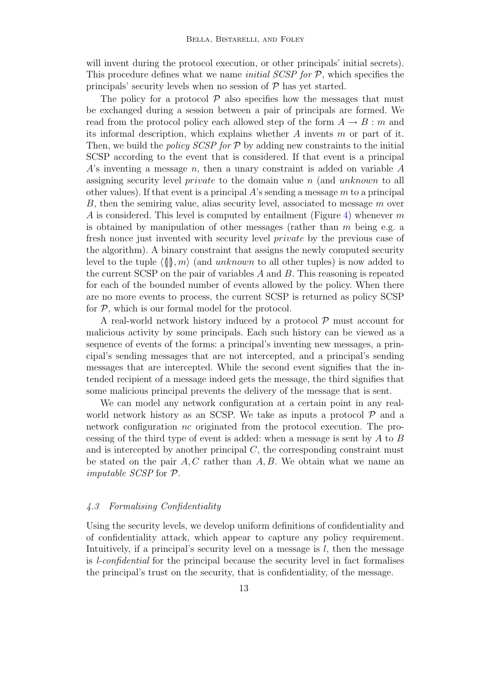will invent during the protocol execution, or other principals' initial secrets). This procedure defines what we name *initial SCSP for*  $P$ , which specifies the principals' security levels when no session of  $P$  has yet started.

The policy for a protocol  $P$  also specifies how the messages that must be exchanged during a session between a pair of principals are formed. We read from the protocol policy each allowed step of the form  $A \rightarrow B : m$  and its informal description, which explains whether A invents  $m$  or part of it. Then, we build the *policy SCSP for*  $\mathcal{P}$  by adding new constraints to the initial SCSP according to the event that is considered. If that event is a principal A's inventing a message  $n$ , then a unary constraint is added on variable  $A$ assigning security level private to the domain value n (and unknown to all other values). If that event is a principal  $A$ 's sending a message m to a principal B, then the semiring value, alias security level, associated to message m over A is considered. This level is computed by entailment (Figure [4\)](#page-11-1) whenever  $m$ is obtained by manipulation of other messages (rather than  $m$  being e.g. a fresh nonce just invented with security level private by the previous case of the algorithm). A binary constraint that assigns the newly computed security level to the tuple  $\langle \{\,\,\,\}, m \rangle$  (and unknown to all other tuples) is now added to the current SCSP on the pair of variables  $A$  and  $B$ . This reasoning is repeated for each of the bounded number of events allowed by the policy. When there are no more events to process, the current SCSP is returned as policy SCSP for  $P$ , which is our formal model for the protocol.

A real-world network history induced by a protocol  $P$  must account for malicious activity by some principals. Each such history can be viewed as a sequence of events of the forms: a principal's inventing new messages, a principal's sending messages that are not intercepted, and a principal's sending messages that are intercepted. While the second event signifies that the intended recipient of a message indeed gets the message, the third signifies that some malicious principal prevents the delivery of the message that is sent.

We can model any network configuration at a certain point in any realworld network history as an SCSP. We take as inputs a protocol  $P$  and a network configuration *nc* originated from the protocol execution. The processing of the third type of event is added: when a message is sent by  $A$  to  $B$ and is intercepted by another principal  $C$ , the corresponding constraint must be stated on the pair  $A, C$  rather than  $A, B$ . We obtain what we name an imputable SCSP for P.

### <span id="page-12-0"></span>4.3 Formalising Confidentiality

Using the security levels, we develop uniform definitions of confidentiality and of confidentiality attack, which appear to capture any policy requirement. Intuitively, if a principal's security level on a message is  $l$ , then the message is l-confidential for the principal because the security level in fact formalises the principal's trust on the security, that is confidentiality, of the message.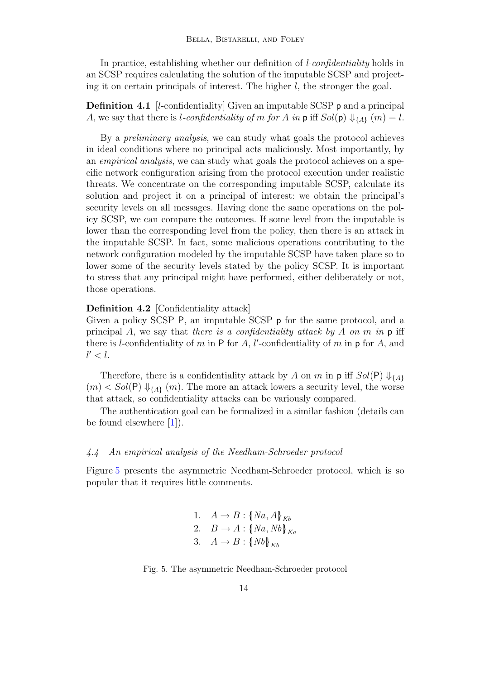In practice, establishing whether our definition of *l-confidentiality* holds in an SCSP requires calculating the solution of the imputable SCSP and projecting it on certain principals of interest. The higher  $l$ , the stronger the goal.

<span id="page-13-2"></span>**Definition 4.1** [*l*-confidentiality] Given an imputable SCSP **p** and a principal A, we say that there is *l*-confidentiality of m for A in p iff  $Sol(p) \Downarrow_{\{A\}} (m) = l$ .

By a preliminary analysis, we can study what goals the protocol achieves in ideal conditions where no principal acts maliciously. Most importantly, by an empirical analysis, we can study what goals the protocol achieves on a specific network configuration arising from the protocol execution under realistic threats. We concentrate on the corresponding imputable SCSP, calculate its solution and project it on a principal of interest: we obtain the principal's security levels on all messages. Having done the same operations on the policy SCSP, we can compare the outcomes. If some level from the imputable is lower than the corresponding level from the policy, then there is an attack in the imputable SCSP. In fact, some malicious operations contributing to the network configuration modeled by the imputable SCSP have taken place so to lower some of the security levels stated by the policy SCSP. It is important to stress that any principal might have performed, either deliberately or not, those operations.

<span id="page-13-3"></span>Definition 4.2 [Confidentiality attack]

Given a policy SCSP P, an imputable SCSP p for the same protocol, and a principal A, we say that there is a confidentiality attack by A on  $m$  in  $p$  iff there is *l*-confidentiality of m in  $P$  for A, *l'*-confidentiality of m in  $p$  for A, and  $l' < l.$ 

Therefore, there is a confidentiality attack by A on m in p iff  $Sol(P) \Downarrow_{\{A\}}$  $(m) < Sol(P) \Downarrow_{\{A\}} (m)$ . The more an attack lowers a security level, the worse that attack, so confidentiality attacks can be variously compared.

The authentication goal can be formalized in a similar fashion (details can be found elsewhere [\[1\]](#page-16-4)).

### <span id="page-13-0"></span>4.4 An empirical analysis of the Needham-Schroeder protocol

Figure [5](#page-13-1) presents the asymmetric Needham-Schroeder protocol, which is so popular that it requires little comments.

> 1.  $A \to B : \{Na, A\}_{Kb}$ 2.  $B \to A : \{Na, Nb\}_{Ka}$ 3.  $A \rightarrow B : \overline{\{Nb\}}_{Kb}$

<span id="page-13-1"></span>Fig. 5. The asymmetric Needham-Schroeder protocol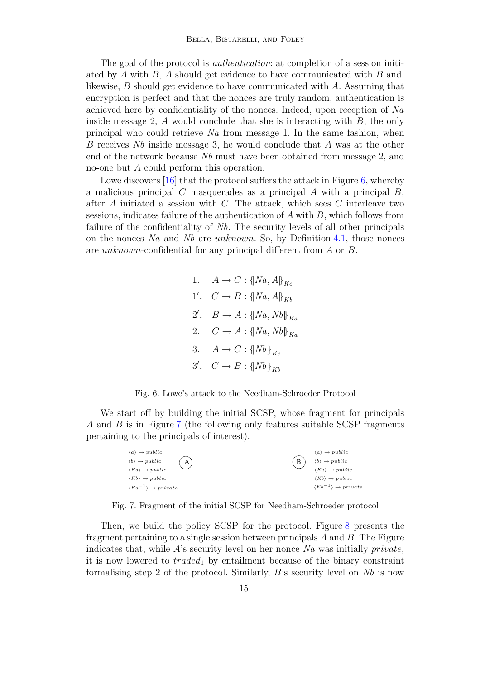The goal of the protocol is *authentication*: at completion of a session initiated by  $A$  with  $B$ ,  $A$  should get evidence to have communicated with  $B$  and, likewise, B should get evidence to have communicated with A. Assuming that encryption is perfect and that the nonces are truly random, authentication is achieved here by confidentiality of the nonces. Indeed, upon reception of Na inside message 2, A would conclude that she is interacting with  $B$ , the only principal who could retrieve  $Na$  from message 1. In the same fashion, when B receives Nb inside message 3, he would conclude that A was at the other end of the network because Nb must have been obtained from message 2, and no-one but A could perform this operation.

Lowe discovers [\[16\]](#page-17-14) that the protocol suffers the attack in Figure [6,](#page-14-0) whereby a malicious principal C masquerades as a principal A with a principal  $B$ , after  $A$  initiated a session with  $C$ . The attack, which sees  $C$  interleave two sessions, indicates failure of the authentication of  $A$  with  $B$ , which follows from failure of the confidentiality of  $Nb$ . The security levels of all other principals on the nonces Na and Nb are unknown. So, by Definition [4.1,](#page-13-2) those nonces are unknown-confidential for any principal different from A or B.

> 1.  $A \to C : \{ \mathbb{N}a, A \}_{Kc}$ 1'.  $C \to B : \{Na, A\}_{Kb}$ 2'.  $B \to A : \{Na, Nb\}_{Ka}$ 2.  $C \to A : \{ \mathbb{N}a, \mathbb{N}b \}_{Ka}$ 3.  $A \rightarrow C : \{Nb\}_{Kc}$ 3'.  $C \rightarrow B : \{Nb\}_{Kb}$

<span id="page-14-0"></span>

PSfrag replace We start of the building the initial SCSP, whose fragment for principals A and B is in Figure [7](#page-14-1) (the following only features suitable SCSP fragments pertaining to the principals of interest).





<span id="page-14-1"></span>Then, we build the policy SCSP for the protocol. Figure [8](#page-15-0) presents the fragment pertaining to a single session between principals  $A$  and  $B$ . The Figure indicates that, while A's security level on her nonce Na was initially  $private$ , it is now lowered to  $traded_1$  by entailment because of the binary constraint formalising step 2 of the protocol. Similarly,  $B$ 's security level on  $Nb$  is now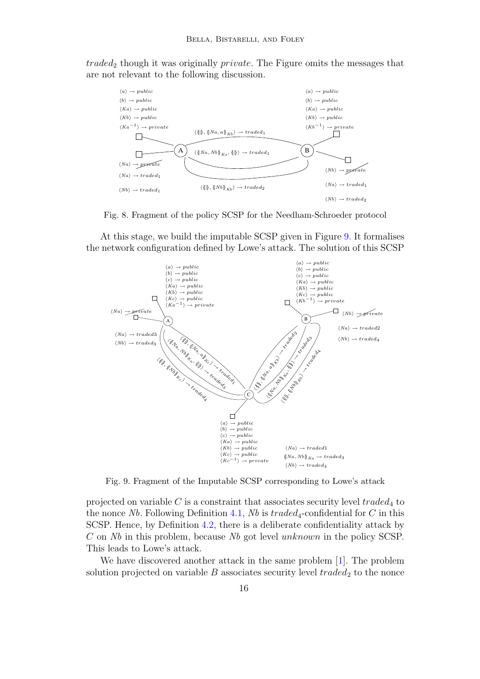$traded_2$  though it was originally *private*. The Figure omits the messages that are not relevant to the following discussion.



PSfrag replacements

Fig. 8. Fragment of the policy SCSP for the Needham-Schroeder protocol

<span id="page-15-0"></span>At this stage, we build the imputable SCSP given in Figure [9.](#page-15-1) It formalises the network configuration defined by Lowe's attack. The solution of this SCSP



Fig. 9. Fragment of the Imputable SCSP corresponding to Lowe's attack

<span id="page-15-1"></span>projected on variable C is a constraint that associates security level  $traded_4$  to the nonce Nb. Following Definition [4.1,](#page-13-2) Nb is  $traded_4$ -confidential for C in this SCSP. Hence, by Definition [4.2,](#page-13-3) there is a deliberate confidentiality attack by C on Nb in this problem, because Nb got level unknown in the policy SCSP. This leads to Lowe's attack.

We have discovered another attack in the same problem [\[1\]](#page-16-4). The problem solution projected on variable  $B$  associates security level  $traded_2$  to the nonce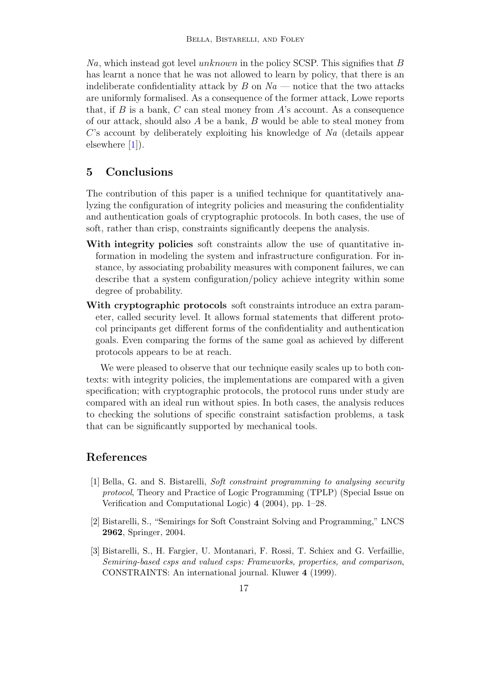$Na$ , which instead got level unknown in the policy SCSP. This signifies that B has learnt a nonce that he was not allowed to learn by policy, that there is an indeliberate confidentiality attack by  $B$  on  $Na$  — notice that the two attacks are uniformly formalised. As a consequence of the former attack, Lowe reports that, if  $B$  is a bank,  $C$  can steal money from  $A$ 's account. As a consequence of our attack, should also A be a bank, B would be able to steal money from  $C$ 's account by deliberately exploiting his knowledge of Na (details appear elsewhere [\[1\]](#page-16-4)).

## <span id="page-16-0"></span>5 Conclusions

The contribution of this paper is a unified technique for quantitatively analyzing the configuration of integrity policies and measuring the confidentiality and authentication goals of cryptographic protocols. In both cases, the use of soft, rather than crisp, constraints significantly deepens the analysis.

- With integrity policies soft constraints allow the use of quantitative information in modeling the system and infrastructure configuration. For instance, by associating probability measures with component failures, we can describe that a system configuration/policy achieve integrity within some degree of probability.
- With cryptographic protocols soft constraints introduce an extra parameter, called security level. It allows formal statements that different protocol principants get different forms of the confidentiality and authentication goals. Even comparing the forms of the same goal as achieved by different protocols appears to be at reach.

We were pleased to observe that our technique easily scales up to both contexts: with integrity policies, the implementations are compared with a given specification; with cryptographic protocols, the protocol runs under study are compared with an ideal run without spies. In both cases, the analysis reduces to checking the solutions of specific constraint satisfaction problems, a task that can be significantly supported by mechanical tools.

## <span id="page-16-4"></span><span id="page-16-1"></span>References

- [1] Bella, G. and S. Bistarelli, Soft constraint programming to analysing security protocol, Theory and Practice of Logic Programming (TPLP) (Special Issue on Verification and Computational Logic) 4 (2004), pp. 1–28.
- <span id="page-16-2"></span>[2] Bistarelli, S., "Semirings for Soft Constraint Solving and Programming," LNCS 2962, Springer, 2004.
- <span id="page-16-3"></span>[3] Bistarelli, S., H. Fargier, U. Montanari, F. Rossi, T. Schiex and G. Verfaillie, Semiring-based csps and valued csps: Frameworks, properties, and comparison, CONSTRAINTS: An international journal. Kluwer 4 (1999).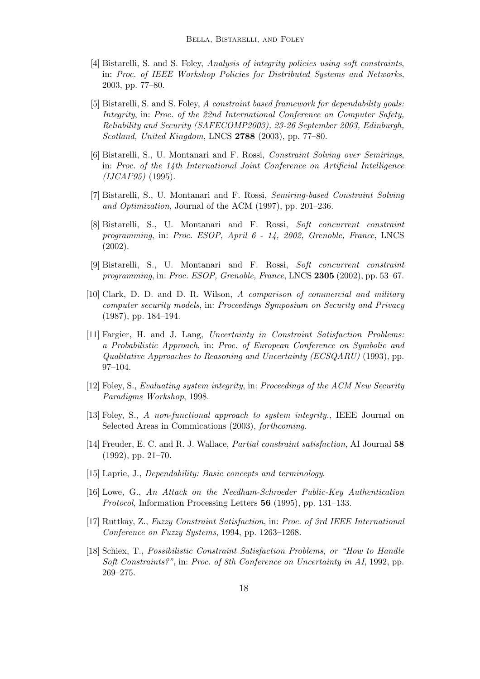- <span id="page-17-8"></span>[4] Bistarelli, S. and S. Foley, Analysis of integrity policies using soft constraints, in: Proc. of IEEE Workshop Policies for Distributed Systems and Networks, 2003, pp. 77–80.
- <span id="page-17-9"></span>[5] Bistarelli, S. and S. Foley, A constraint based framework for dependability goals: Integrity, in: Proc. of the 22nd International Conference on Computer Safety, Reliability and Security (SAFECOMP2003), 23-26 September 2003, Edinburgh, Scotland, United Kingdom, LNCS 2788 (2003), pp. 77–80.
- <span id="page-17-0"></span>[6] Bistarelli, S., U. Montanari and F. Rossi, Constraint Solving over Semirings, in: Proc. of the 14th International Joint Conference on Artificial Intelligence  $(IJCAI'95)$  (1995).
- <span id="page-17-2"></span><span id="page-17-1"></span>[7] Bistarelli, S., U. Montanari and F. Rossi, Semiring-based Constraint Solving and Optimization, Journal of the ACM (1997), pp. 201–236.
- [8] Bistarelli, S., U. Montanari and F. Rossi, Soft concurrent constraint programming, in: Proc. ESOP, April 6 - 14, 2002, Grenoble, France, LNCS (2002).
- <span id="page-17-7"></span>[9] Bistarelli, S., U. Montanari and F. Rossi, Soft concurrent constraint programming, in: Proc. ESOP, Grenoble, France, LNCS 2305 (2002), pp. 53–67.
- <span id="page-17-13"></span>[10] Clark, D. D. and D. R. Wilson, A comparison of commercial and military computer security models, in: Proceedings Symposium on Security and Privacy (1987), pp. 184–194.
- <span id="page-17-4"></span>[11] Fargier, H. and J. Lang, Uncertainty in Constraint Satisfaction Problems: a Probabilistic Approach, in: Proc. of European Conference on Symbolic and Qualitative Approaches to Reasoning and Uncertainty (ECSQARU) (1993), pp. 97–104.
- <span id="page-17-10"></span>[12] Foley, S., Evaluating system integrity, in: Proceedings of the ACM New Security Paradigms Workshop, 1998.
- <span id="page-17-11"></span><span id="page-17-5"></span>[13] Foley, S., A non-functional approach to system integrity., IEEE Journal on Selected Areas in Commications (2003), forthcoming.
- [14] Freuder, E. C. and R. J. Wallace, Partial constraint satisfaction, AI Journal 58 (1992), pp. 21–70.
- <span id="page-17-14"></span><span id="page-17-12"></span>[15] Laprie, J., Dependability: Basic concepts and terminology.
- [16] Lowe, G., An Attack on the Needham-Schroeder Public-Key Authentication Protocol, Information Processing Letters 56 (1995), pp. 131–133.
- <span id="page-17-6"></span><span id="page-17-3"></span>[17] Ruttkay, Z., Fuzzy Constraint Satisfaction, in: Proc. of 3rd IEEE International Conference on Fuzzy Systems, 1994, pp. 1263–1268.
- [18] Schiex, T., Possibilistic Constraint Satisfaction Problems, or "How to Handle Soft Constraints?", in: Proc. of 8th Conference on Uncertainty in AI, 1992, pp. 269–275.